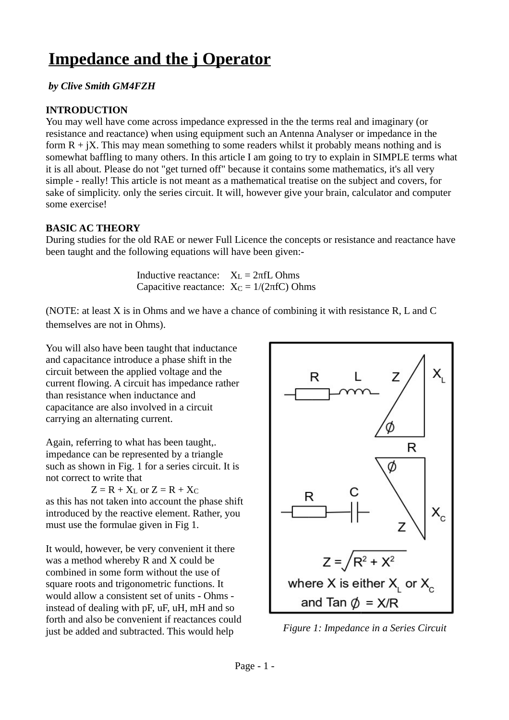# **Impedance and the j Operator**

### *by Clive Smith GM4FZH*

### **INTRODUCTION**

You may well have come across impedance expressed in the the terms real and imaginary (or resistance and reactance) when using equipment such an Antenna Analyser or impedance in the form  $R + iX$ . This may mean something to some readers whilst it probably means nothing and is somewhat baffling to many others. In this article I am going to try to explain in SIMPLE terms what it is all about. Please do not "get turned off" because it contains some mathematics, it's all very simple - really! This article is not meant as a mathematical treatise on the subject and covers, for sake of simplicity. only the series circuit. It will, however give your brain, calculator and computer some exercise!

#### **BASIC AC THEORY**

During studies for the old RAE or newer Full Licence the concepts or resistance and reactance have been taught and the following equations will have been given:-

> Inductive reactance:  $X_L = 2πfL Ohms$ Capacitive reactance:  $X_C = 1/(2\pi fC)$  Ohms

themselves are not in Ohms). (NOTE: at least X is in Ohms and we have a chance of combining it with resistance R, L and C

You will also have been taught that inductance and capacitance introduce a phase shift in the circuit between the applied voltage and the current flowing. A circuit has impedance rather than resistance when inductance and capacitance are also involved in a circuit carrying an alternating current.

Again, referring to what has been taught,. impedance can be represented by a triangle such as shown in Fig. 1 for a series circuit. It is not correct to write that

 $Z = R + X_L$  or  $Z = R + X_C$ as this has not taken into account the phase shift introduced by the reactive element. Rather, you must use the formulae given in Fig 1.

It would, however, be very convenient it there was a method whereby R and X could be combined in some form without the use of square roots and trigonometric functions. It would allow a consistent set of units - Ohms instead of dealing with pF, uF, uH, mH and so forth and also be convenient if reactances could just be added and subtracted. This would help



*Figure 1: Impedance in a Series Circuit*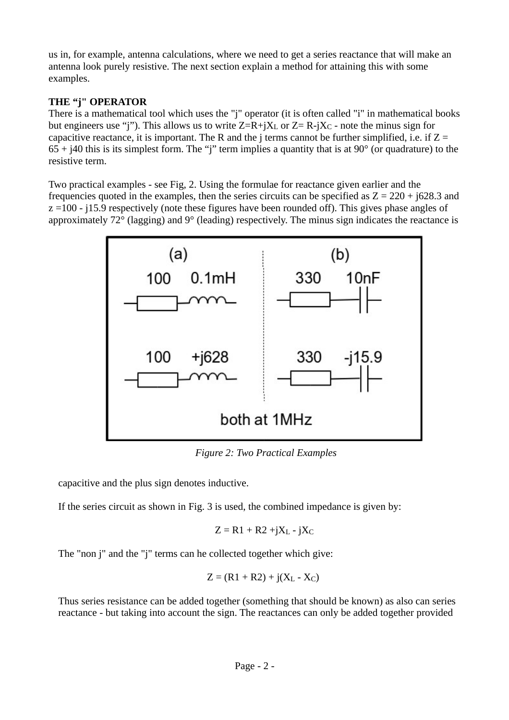us in, for example, antenna calculations, where we need to get a series reactance that will make an antenna look purely resistive. The next section explain a method for attaining this with some examples.

## **THE "j" OPERATOR**

There is a mathematical tool which uses the "j" operator (it is often called "i" in mathematical books but engineers use "j"). This allows us to write  $Z=R+jX<sub>L</sub>$  or  $Z=R-jX<sub>C</sub>$  - note the minus sign for capacitive reactance, it is important. The R and the j terms cannot be further simplified, i.e. if  $Z =$  $65 + j40$  this is its simplest form. The "j" term implies a quantity that is at 90 $^{\circ}$  (or quadrature) to the resistive term.

Two practical examples - see Fig, 2. Using the formulae for reactance given earlier and the frequencies quoted in the examples, then the series circuits can be specified as  $Z = 220 + 1628.3$  and z =100 - j15.9 respectively (note these figures have been rounded off). This gives phase angles of approximately 72° (lagging) and 9° (leading) respectively. The minus sign indicates the reactance is



*Figure 2: Two Practical Examples*

capacitive and the plus sign denotes inductive.

If the series circuit as shown in Fig. 3 is used, the combined impedance is given by:

$$
Z = R1 + R2 + jXL - jXC
$$

The "non j" and the "j" terms can he collected together which give:

$$
Z = (R1 + R2) + j(XL - XC)
$$

Thus series resistance can be added together (something that should be known) as also can series reactance - but taking into account the sign. The reactances can only be added together provided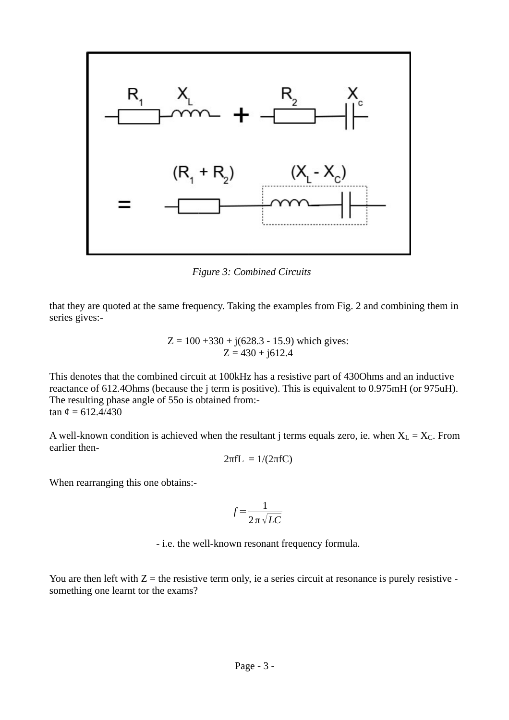

*Figure 3: Combined Circuits*

that they are quoted at the same frequency. Taking the examples from Fig. 2 and combining them in series gives:-

$$
Z = 100 + 330 + j(628.3 - 15.9)
$$
 which gives:  

$$
Z = 430 + j612.4
$$

This denotes that the combined circuit at 100kHz has a resistive part of 430Ohms and an inductive reactance of 612.4Ohms (because the j term is positive). This is equivalent to 0.975mH (or 975uH). The resulting phase angle of 55o is obtained from: tan  $\mathfrak{e} = 612.4/430$ 

A well-known condition is achieved when the resultant j terms equals zero, ie. when  $X_L = X_C$ . From earlier then-

$$
2\pi fL = 1/(2\pi fC)
$$

When rearranging this one obtains:-

$$
f = \frac{1}{2\pi\sqrt{LC}}
$$

- i.e. the well-known resonant frequency formula.

You are then left with  $Z =$  the resistive term only, ie a series circuit at resonance is purely resistive something one learnt tor the exams?